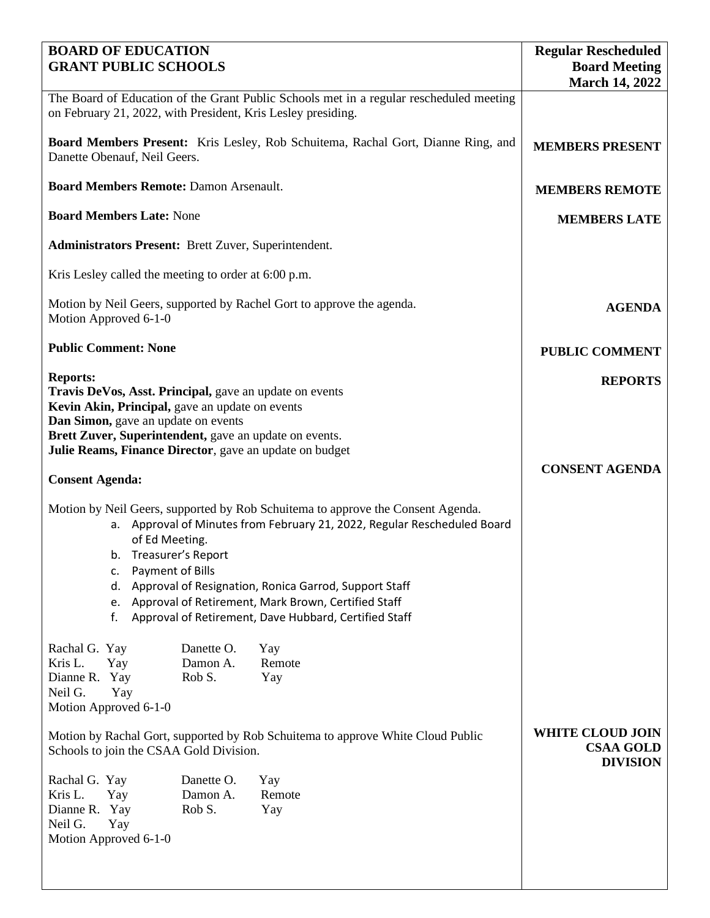| <b>BOARD OF EDUCATION</b><br><b>GRANT PUBLIC SCHOOLS</b>                                                                                                                                                                                                                                                                                                                                                                    | <b>Regular Rescheduled</b><br><b>Board Meeting</b>             |                      |                       |
|-----------------------------------------------------------------------------------------------------------------------------------------------------------------------------------------------------------------------------------------------------------------------------------------------------------------------------------------------------------------------------------------------------------------------------|----------------------------------------------------------------|----------------------|-----------------------|
|                                                                                                                                                                                                                                                                                                                                                                                                                             |                                                                |                      | <b>March 14, 2022</b> |
| The Board of Education of the Grant Public Schools met in a regular rescheduled meeting<br>on February 21, 2022, with President, Kris Lesley presiding.                                                                                                                                                                                                                                                                     |                                                                |                      |                       |
| <b>Board Members Present:</b> Kris Lesley, Rob Schuitema, Rachal Gort, Dianne Ring, and<br>Danette Obenauf, Neil Geers.                                                                                                                                                                                                                                                                                                     | <b>MEMBERS PRESENT</b>                                         |                      |                       |
| <b>Board Members Remote: Damon Arsenault.</b>                                                                                                                                                                                                                                                                                                                                                                               | <b>MEMBERS REMOTE</b>                                          |                      |                       |
| <b>Board Members Late: None</b>                                                                                                                                                                                                                                                                                                                                                                                             | <b>MEMBERS LATE</b>                                            |                      |                       |
| <b>Administrators Present:</b> Brett Zuver, Superintendent.                                                                                                                                                                                                                                                                                                                                                                 |                                                                |                      |                       |
| Kris Lesley called the meeting to order at 6:00 p.m.                                                                                                                                                                                                                                                                                                                                                                        |                                                                |                      |                       |
| Motion by Neil Geers, supported by Rachel Gort to approve the agenda.<br>Motion Approved 6-1-0                                                                                                                                                                                                                                                                                                                              | <b>AGENDA</b>                                                  |                      |                       |
| <b>Public Comment: None</b>                                                                                                                                                                                                                                                                                                                                                                                                 | <b>PUBLIC COMMENT</b>                                          |                      |                       |
| <b>Reports:</b><br>Travis DeVos, Asst. Principal, gave an update on events<br>Kevin Akin, Principal, gave an update on events<br>Dan Simon, gave an update on events<br>Brett Zuver, Superintendent, gave an update on events.                                                                                                                                                                                              | <b>REPORTS</b>                                                 |                      |                       |
| Julie Reams, Finance Director, gave an update on budget                                                                                                                                                                                                                                                                                                                                                                     |                                                                |                      | <b>CONSENT AGENDA</b> |
| <b>Consent Agenda:</b>                                                                                                                                                                                                                                                                                                                                                                                                      |                                                                |                      |                       |
| Motion by Neil Geers, supported by Rob Schuitema to approve the Consent Agenda.<br>a. Approval of Minutes from February 21, 2022, Regular Rescheduled Board<br>of Ed Meeting.<br>b. Treasurer's Report<br>Payment of Bills<br>c.<br>Approval of Resignation, Ronica Garrod, Support Staff<br>d.<br>Approval of Retirement, Mark Brown, Certified Staff<br>e.<br>Approval of Retirement, Dave Hubbard, Certified Staff<br>f. |                                                                |                      |                       |
| Rachal G. Yay<br>Kris L.<br>Yay<br>Dianne R. Yay<br>Neil G.<br>Yay<br>Motion Approved 6-1-0                                                                                                                                                                                                                                                                                                                                 | Danette O.<br>Damon A.<br>Rob S.                               | Yay<br>Remote<br>Yay |                       |
| Motion by Rachal Gort, supported by Rob Schuitema to approve White Cloud Public<br>Schools to join the CSAA Gold Division.                                                                                                                                                                                                                                                                                                  | <b>WHITE CLOUD JOIN</b><br><b>CSAA GOLD</b><br><b>DIVISION</b> |                      |                       |
| Rachal G. Yay<br>Kris L.<br>Yay<br>Dianne R. Yay<br>Neil G.<br>Yay<br>Motion Approved 6-1-0                                                                                                                                                                                                                                                                                                                                 | Danette O.<br>Damon A.<br>Rob S.                               | Yay<br>Remote<br>Yay |                       |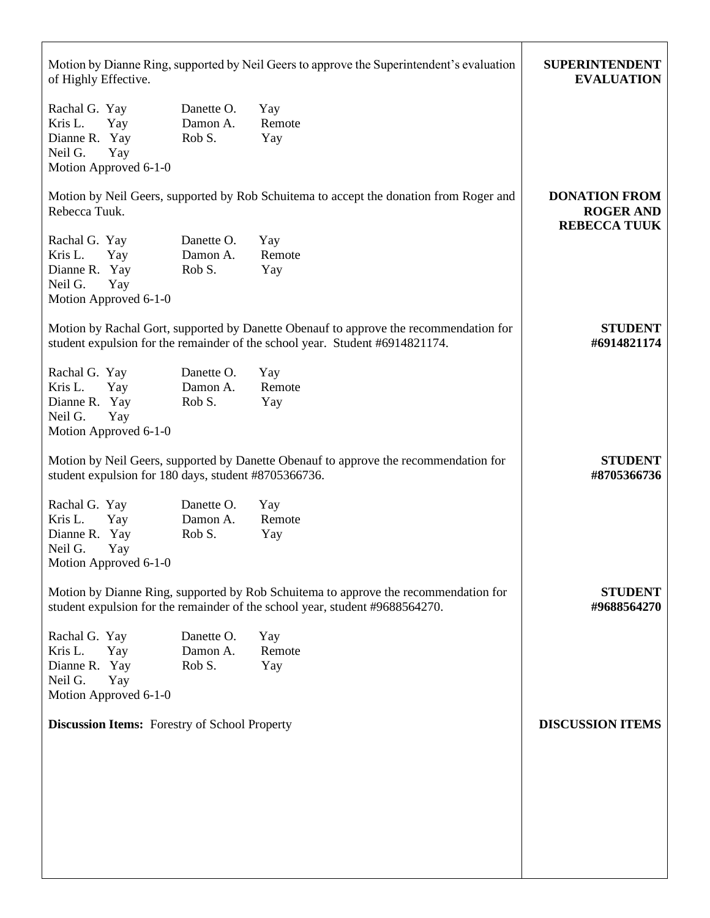| Motion by Dianne Ring, supported by Neil Geers to approve the Superintendent's evaluation<br>of Highly Effective.                                                     | <b>SUPERINTENDENT</b><br><b>EVALUATION</b>                      |                      |  |
|-----------------------------------------------------------------------------------------------------------------------------------------------------------------------|-----------------------------------------------------------------|----------------------|--|
| Rachal G. Yay<br>Kris L.<br>Yay<br>Dianne R. Yay<br>Neil G.<br>Yay<br>Motion Approved 6-1-0                                                                           | Danette O.<br>Damon A.<br>Rob S.                                | Yay<br>Remote<br>Yay |  |
| Motion by Neil Geers, supported by Rob Schuitema to accept the donation from Roger and<br>Rebecca Tuuk.                                                               | <b>DONATION FROM</b><br><b>ROGER AND</b><br><b>REBECCA TUUK</b> |                      |  |
| Rachal G. Yay<br>Kris L.<br>Yay<br>Dianne R. Yay<br>Neil G.<br>Yay<br>Motion Approved 6-1-0                                                                           | Danette O.<br>Damon A.<br>Rob S.                                | Yay<br>Remote<br>Yay |  |
| Motion by Rachal Gort, supported by Danette Obenauf to approve the recommendation for<br>student expulsion for the remainder of the school year. Student #6914821174. | <b>STUDENT</b><br>#6914821174                                   |                      |  |
| Rachal G. Yay<br>Kris L.<br>Yay<br>Dianne R. Yay<br>Neil G.<br>Yay<br>Motion Approved 6-1-0                                                                           | Danette O.<br>Damon A.<br>Rob S.                                | Yay<br>Remote<br>Yay |  |
| Motion by Neil Geers, supported by Danette Obenauf to approve the recommendation for<br>student expulsion for 180 days, student #8705366736.                          | <b>STUDENT</b><br>#8705366736                                   |                      |  |
| Rachal G. Yay<br>Kris L.<br>Yay<br>Dianne R. Yay<br>Neil G.<br>Yay<br>Motion Approved 6-1-0                                                                           | Danette O.<br>Damon A.<br>Rob S.                                | Yay<br>Remote<br>Yay |  |
| Motion by Dianne Ring, supported by Rob Schuitema to approve the recommendation for<br>student expulsion for the remainder of the school year, student #9688564270.   | <b>STUDENT</b><br>#9688564270                                   |                      |  |
| Rachal G. Yay<br>Kris L.<br>Yay<br>Dianne R. Yay<br>Neil G.<br>Yay<br>Motion Approved 6-1-0                                                                           | Danette O.<br>Damon A.<br>Rob S.                                | Yay<br>Remote<br>Yay |  |
| <b>Discussion Items:</b> Forestry of School Property                                                                                                                  | <b>DISCUSSION ITEMS</b>                                         |                      |  |
|                                                                                                                                                                       |                                                                 |                      |  |
|                                                                                                                                                                       |                                                                 |                      |  |
|                                                                                                                                                                       |                                                                 |                      |  |